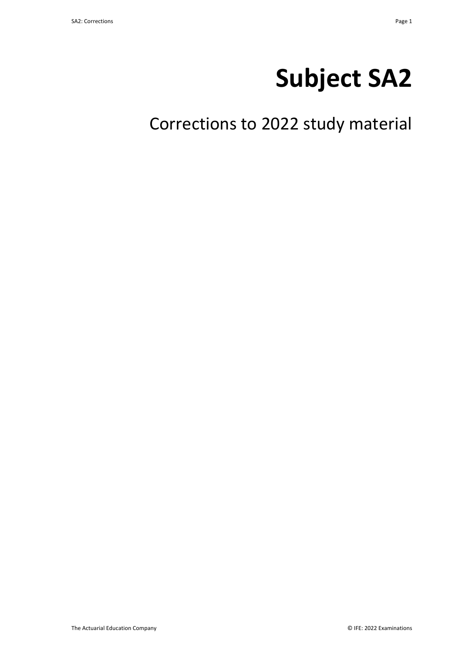# **Subject SA2**

Corrections to 2022 study material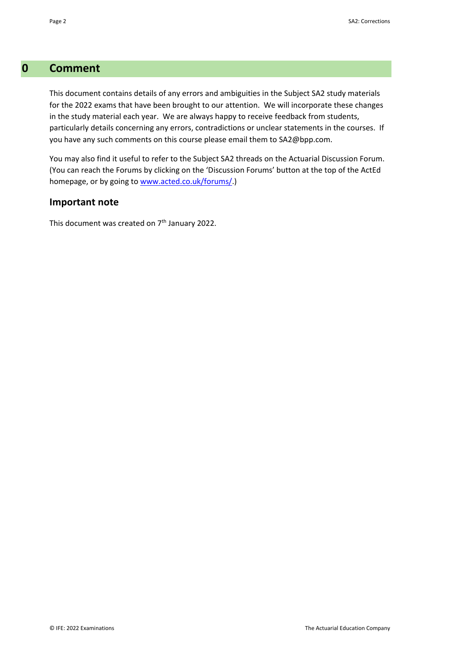## **0 Comment**

This document contains details of any errors and ambiguities in the Subject SA2 study materials for the 2022 exams that have been brought to our attention. We will incorporate these changes in the study material each year. We are always happy to receive feedback from students, particularly details concerning any errors, contradictions or unclear statements in the courses. If you have any such comments on this course please email them to SA2@bpp.com.

You may also find it useful to refer to the Subject SA2 threads on the Actuarial Discussion Forum. (You can reach the Forums by clicking on the 'Discussion Forums' button at the top of the ActEd homepage, or by going to www.acted.co.uk/forums/.)

## **Important note**

This document was created on  $7<sup>th</sup>$  January 2022.